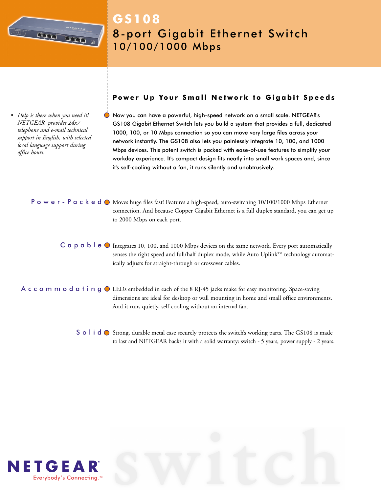

# **GS108** 8-port Gigabit Ethernet Switch 10/100/1000 Mbps

*• Help is there when you need it! NETGEAR provides 24x7 telephone and e-mail technical support in English, with selected local language support during office hours.*

## **Power Up Your Small Network to Gigabit Speeds**

Now you can have a powerful, high-speed network on a small scale. NETGEAR's GS108 Gigabit Ethernet Switch lets you build a system that provides a full, dedicated 1000, 100, or 10 Mbps connection so you can move very large files across your network instantly. The GS108 also lets you painlessly integrate 10, 100, and 1000 Mbps devices. This potent switch is packed with ease-of-use features to simplify your workday experience. It's compact design fits neatly into small work spaces and, since it's self-cooling without a fan, it runs silently and unobtrusively.

**Power-Packed O** Moves huge files fast! Features a high-speed, auto-switching 10/100/1000 Mbps Ethernet connection. And because Copper Gigabit Ethernet is a full duplex standard, you can get up to 2000 Mbps on each port.

 $C$  a p a b l e  $\odot$  Integrates 10, 100, and 1000 Mbps devices on the same network. Every port automatically senses the right speed and full/half duplex mode, while Auto Uplink<sup>™</sup> technology automatically adjusts for straight-through or crossover cables.

A c c o m m o d a t i n g  $\odot$  LEDs embedded in each of the 8 RJ-45 jacks make for easy monitoring. Space-saving dimensions are ideal for desktop or wall mounting in home and small office environments. And it runs quietly, self-cooling without an internal fan.

> S o  $\textsf{I}$  i  $\textsf{d}$   $\bigcirc$  Strong, durable metal case securely protects the switch's working parts. The GS108 is made to last and NETGEAR backs it with a solid warranty: switch - 5 years, power supply - 2 years.